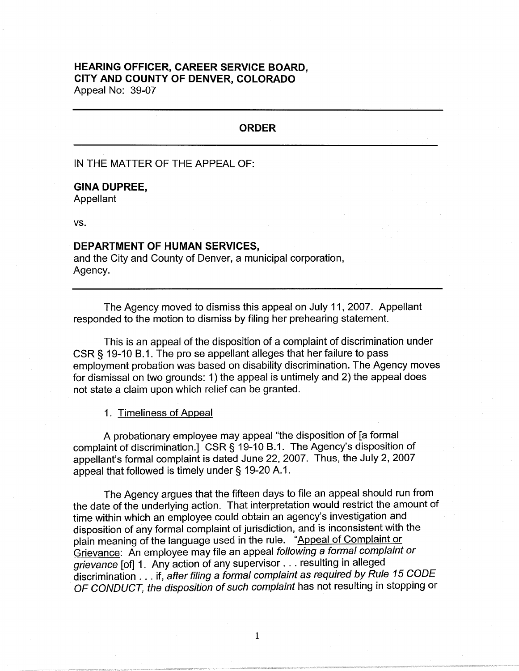# **HEARING OFFICER, CAREER SERVICE BOARD, CITY AND COUNTY OF DENVER, COLORADO**

Appeal No: 39-07

## **ORDER**

IN THE MATTER OF THE APPEAL OF:

### **GINA DUPREE,**

Appellant

vs.

#### **DEPARTMENT OF HUMAN SERVICES,**

and the City and County of Denver, a municipal corporation, Agency.

The Agency moved to dismiss this appeal on July 11, 2007. Appellant responded to the motion to dismiss by filing her prehearing statement.

This is an appeal of the disposition of a complaint of discrimination under CSR § 19-10 B.1. The pro se appellant alleges that her failure to pass employment probation was based on disability discrimination. The Agency moves for dismissal on two grounds: 1) the appeal is untimely and 2) the appeal does not state a claim upon which relief can be granted.

#### 1. Timeliness of Appeal

A probationary employee may appeal "the disposition of [a formal complaint of discrimination.] CSR§ 19-10 B.1. The Agency's disposition of appellant's formal complaint is dated June 22, 2007. Thus, the July 2, 2007 appeal that followed is timely under§ 19-20 A.1.

The Agency argues that the fifteen days to file an appeal should run from the date of the underlying action. That interpretation would restrict the amount of time within which an employee could obtain an agency's investigation and disposition of any formal complaint of jurisdiction, and is inconsistent with the plain meaning of the language used in the rule. "Appeal of Complaint or Grievance: An employee may file an appeal following a formal complaint or grievance [of] 1. Any action of any supervisor ... resulting in alleged discrimination ... if, after filing a formal complaint as required by Rule 15 CODE OF CONDUCT, the disposition of such complaint has not resulting in stopping or